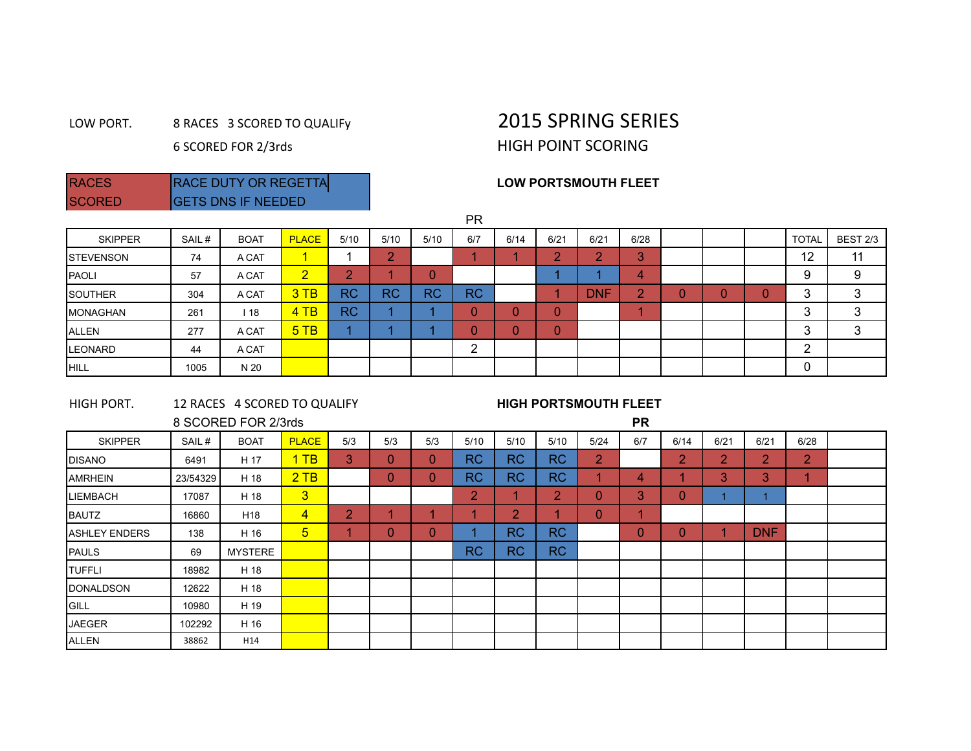## LOW PORT. 8 RACES 3 SCORED TO QUALIFY 2015 SPRING SERIES 6 SCORED FOR 2/3rds HIGH POINT SCORING

## RACES RACE DUTY OR REGETTA **REGETTA REGETTA REGETTA REGETTA REGETTA REGETTA REGETTA REGETTA REGETTA REGETTA REGET**

| <b>IRAUES</b> | <b>IRAUL DUTT UR REGETTA</b> |  |
|---------------|------------------------------|--|
| <b>SCORED</b> | <b>GETS DNS IF NEEDED</b>    |  |
|               |                              |  |

|                  |       |             |                |           |           |           | <b>PR</b> |      |        |            |                        |   |            |              |                 |
|------------------|-------|-------------|----------------|-----------|-----------|-----------|-----------|------|--------|------------|------------------------|---|------------|--------------|-----------------|
| <b>SKIPPER</b>   | SAIL# | <b>BOAT</b> | <b>PLACE</b>   | 5/10      | 5/10      | 5/10      | 6/7       | 6/14 | 6/21   | 6/21       | 6/28                   |   |            | <b>TOTAL</b> | <b>BEST 2/3</b> |
| <b>STEVENSON</b> | 74    | A CAT       | 4.             |           | $\sim$    |           |           |      | $\sim$ | $\sim$     | $\mathbf{\Omega}$<br>Ω |   |            | 12           | 11              |
| PAOLI            | 57    | A CAT       | $\overline{2}$ | $\bullet$ |           | $\cap$    |           |      |        |            | 4                      |   |            | 9            | 9               |
| <b>SOUTHER</b>   | 304   | A CAT       | 3TB            | <b>RC</b> | <b>RC</b> | <b>RC</b> | <b>RC</b> |      |        | <b>DNF</b> | ◠<br>z.                | υ | $\sqrt{ }$ | 3            | 3               |
| <b>MONAGHAN</b>  | 261   | 18          | 4TB            | <b>RC</b> |           |           |           |      | 0      |            |                        |   |            | 3            | 3               |
| ALLEN            | 277   | A CAT       | 5TB            |           |           |           |           |      | 0      |            |                        |   |            | 3            | 3               |
| <b>ILEONARD</b>  | 44    | A CAT       |                |           |           |           | ◠<br>←    |      |        |            |                        |   |            | ົ            |                 |
| <b>HILL</b>      | 1005  | N 20        |                |           |           |           |           |      |        |            |                        |   |            | 0            |                 |

| HIGH PORT.        |          | 12 RACES 4 SCORED TO QUALIFY |                |                |              |              |           | <b>HIGH PORTSMOUTH FLEET</b> |                                         |                |          |                |             |                |                |  |
|-------------------|----------|------------------------------|----------------|----------------|--------------|--------------|-----------|------------------------------|-----------------------------------------|----------------|----------|----------------|-------------|----------------|----------------|--|
|                   |          | 8 SCORED FOR 2/3rds          |                |                |              | <b>PR</b>    |           |                              |                                         |                |          |                |             |                |                |  |
| <b>SKIPPER</b>    | SAIL#    | <b>BOAT</b>                  | <b>PLACE</b>   | 5/3            | 5/3          | 5/3          | 5/10      | 5/10                         | 5/10                                    | 5/24           | 6/7      | 6/14           | 6/21        | 6/21           | 6/28           |  |
| <b>IDISANO</b>    | 6491     | H 17                         | 1TB            | 3              | $\Omega$     | $\mathbf{0}$ | RC        | RC                           | RC                                      | $\overline{2}$ |          | $\overline{2}$ | $2^{\circ}$ | $\overline{2}$ | $\overline{2}$ |  |
| <b>AMRHEIN</b>    | 23/54329 | H 18                         | 2TB            |                | $\Omega$     | $\mathbf{0}$ | <b>RC</b> | RC                           | RC                                      |                | 4        |                | 3           | 3              | и              |  |
| <b>ILIEMBACH</b>  | 17087    | H 18                         | 3 <sup>5</sup> |                |              |              | 2         |                              | $\mathbf{2}^{\scriptscriptstyle{\top}}$ | $\Omega$       | 3        | $\overline{0}$ |             |                |                |  |
| <b>BAUTZ</b>      | 16860    | H <sub>18</sub>              | $\overline{4}$ | $\overline{2}$ |              |              |           | 2                            |                                         | $\Omega$       |          |                |             |                |                |  |
| IASHLEY ENDERS    | 138      | H 16                         | 5 <sup>5</sup> | 4              | $\mathbf{0}$ | $\mathbf{0}$ |           | RC                           | RC                                      |                | $\Omega$ | $\overline{0}$ | 4           | <b>DNF</b>     |                |  |
| <b>PAULS</b>      | 69       | <b>MYSTERE</b>               |                |                |              |              | <b>RC</b> | RC                           | RC                                      |                |          |                |             |                |                |  |
| TUFFLI            | 18982    | H 18                         |                |                |              |              |           |                              |                                         |                |          |                |             |                |                |  |
| <b>IDONALDSON</b> | 12622    | H 18                         |                |                |              |              |           |                              |                                         |                |          |                |             |                |                |  |
| <b>GILL</b>       | 10980    | H 19                         |                |                |              |              |           |                              |                                         |                |          |                |             |                |                |  |
| <b>JAEGER</b>     | 102292   | H 16                         |                |                |              |              |           |                              |                                         |                |          |                |             |                |                |  |
| <b>ALLEN</b>      | 38862    | H14                          |                |                |              |              |           |                              |                                         |                |          |                |             |                |                |  |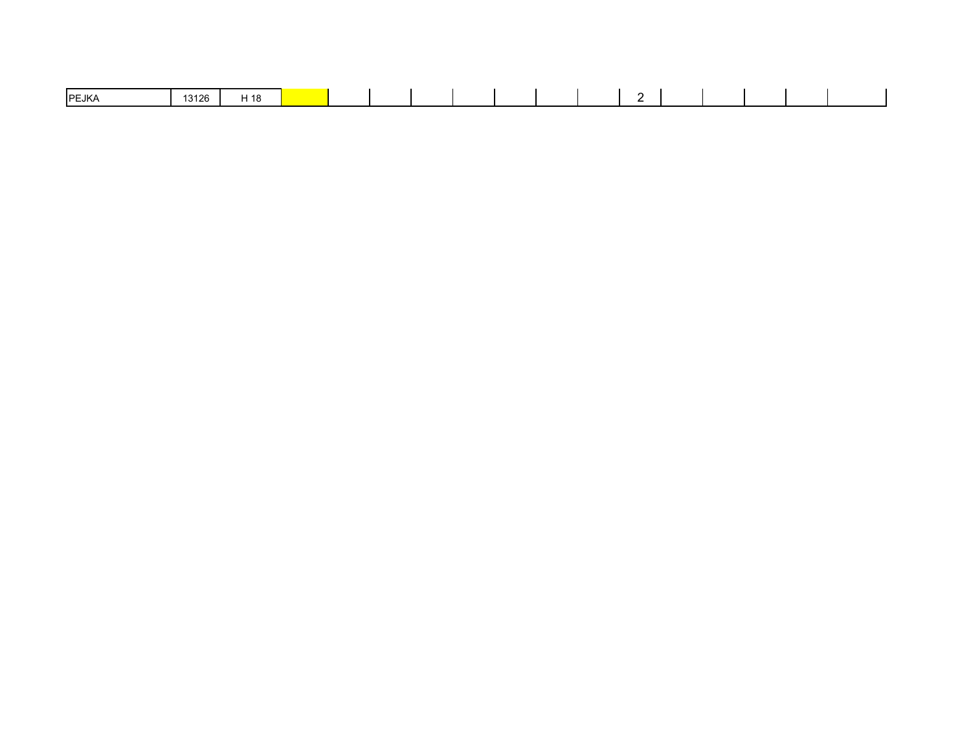| <b>IPEJKA</b> | 0.100<br>126 | ⊐ 40<br>- 10 |  |  |  |  |  |  |  |
|---------------|--------------|--------------|--|--|--|--|--|--|--|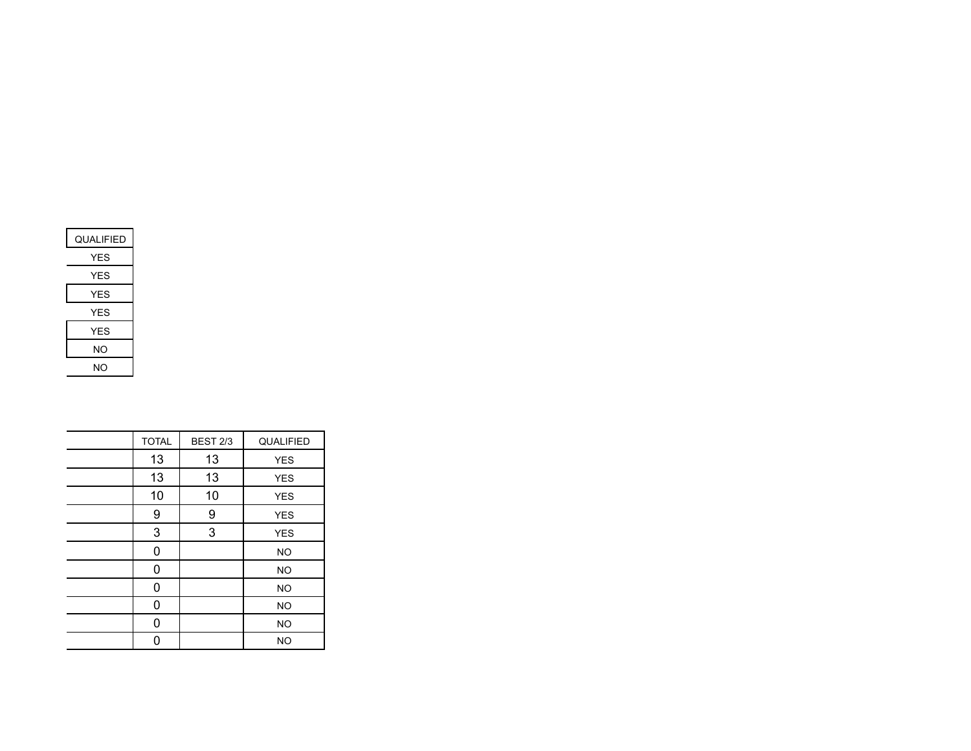| QUALIFIED |
|-----------|
| YES       |
| YES       |
| YES       |
| YES       |
| YES       |
| NΟ        |
| NΟ        |

| <b>TOTAL</b> | <b>BEST 2/3</b> | QUALIFIED  |
|--------------|-----------------|------------|
| 13           | 13              | <b>YES</b> |
| 13           | 13              | <b>YES</b> |
| 10           | 10              | <b>YES</b> |
| 9            | 9               | <b>YES</b> |
| 3            | 3               | <b>YES</b> |
| 0            |                 | <b>NO</b>  |
| 0            |                 | <b>NO</b>  |
| 0            |                 | <b>NO</b>  |
| 0            |                 | <b>NO</b>  |
| 0            |                 | <b>NO</b>  |
| 0            |                 | <b>NO</b>  |